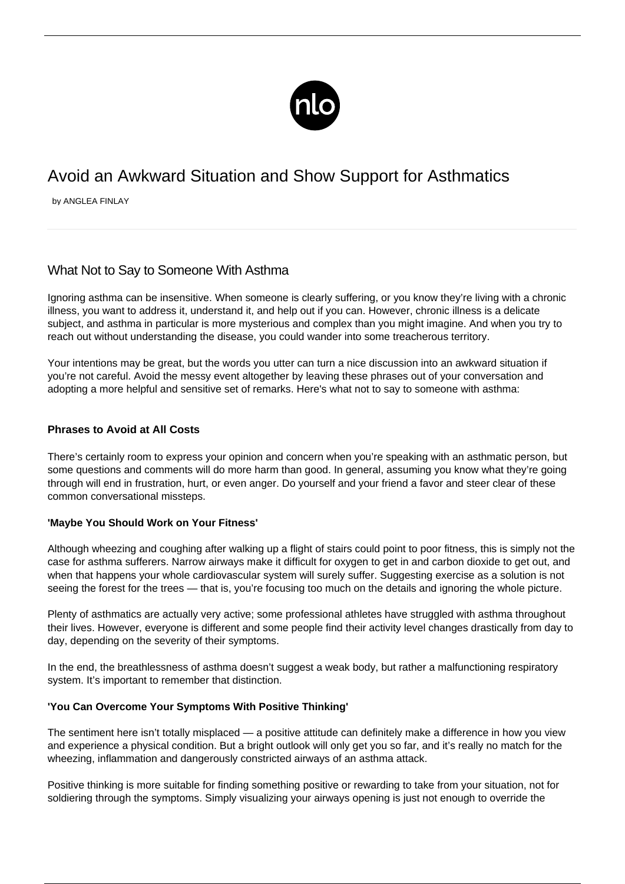

# Avoid an Awkward Situation and Show Support for Asthmatics

by ANGLEA FINLAY

# What Not to Say to Someone With Asthma

Ignoring asthma can be insensitive. When someone is clearly suffering, or you know they're living with a chronic illness, you want to address it, understand it, and help out if you can. However, chronic illness is a delicate subject, and asthma in particular is more mysterious and complex than you might imagine. And when you try to reach out without understanding the disease, you could wander into some treacherous territory.

Your intentions may be great, but the words you utter can turn a nice discussion into an awkward situation if you're not careful. Avoid the messy event altogether by leaving these phrases out of your conversation and adopting a more helpful and sensitive set of remarks. Here's what not to say to someone with asthma:

# **Phrases to Avoid at All Costs**

There's certainly room to express your opinion and concern when you're speaking with an asthmatic person, but some questions and comments will do more harm than good. In general, assuming you know what they're going through will end in frustration, hurt, or even anger. Do yourself and your friend a favor and steer clear of these common conversational missteps.

#### **'Maybe You Should Work on Your Fitness'**

Although wheezing and coughing after walking up a flight of stairs could point to poor fitness, this is simply not the case for asthma sufferers. Narrow airways make it difficult for oxygen to get in and carbon dioxide to get out, and when that happens your whole cardiovascular system will surely suffer. Suggesting exercise as a solution is not seeing the forest for the trees — that is, you're focusing too much on the details and ignoring the whole picture.

Plenty of asthmatics are actually very active; some professional athletes have struggled with asthma throughout their lives. However, everyone is different and some people find their [activity level](/asthma-and-benefits-of-exercise/) changes drastically from day to day, depending on the severity of their symptoms.

In the end, the breathlessness of asthma doesn't suggest a weak body, but rather a malfunctioning respiratory system. It's important to remember that distinction.

#### **'You Can Overcome Your Symptoms With Positive Thinking'**

The sentiment here isn't totally misplaced — a positive attitude can definitely make a difference in how you view and experience a physical condition. But a bright outlook will only get you so far, and it's really no match for the wheezing, inflammation and dangerously constricted airways of an asthma attack.

Positive thinking is more suitable for finding something positive or rewarding to take from your situation, not for soldiering through the symptoms. Simply visualizing your airways opening is just not enough to override the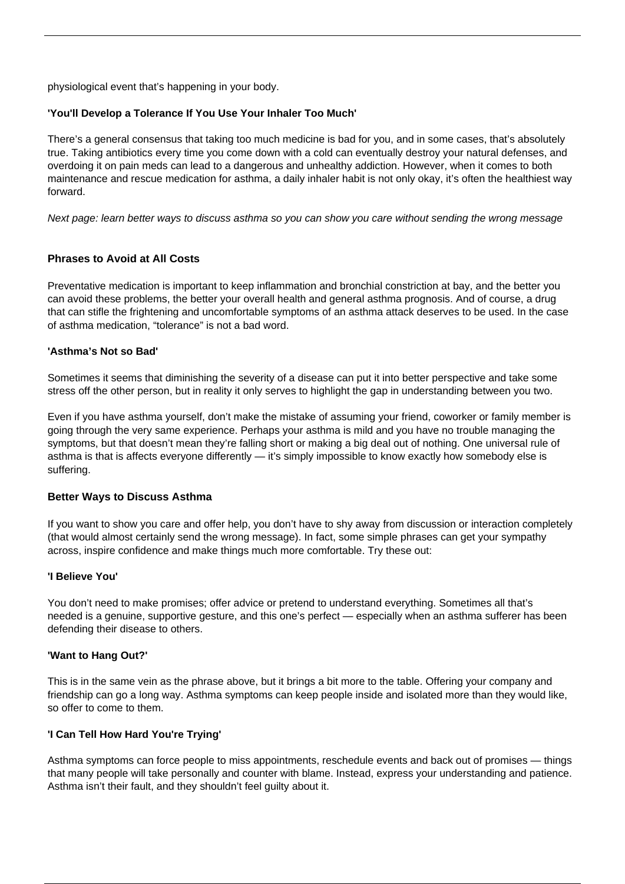physiological event that's happening in your body.

# **'You'll Develop a Tolerance If You Use Your Inhaler Too Much'**

There's a general consensus that taking too much medicine is bad for you, and in some cases, that's absolutely true. Taking antibiotics every time you come down with a cold can eventually destroy your natural defenses, and overdoing it on pain meds can lead to a dangerous and unhealthy addiction. However, when it comes to both maintenance and rescue medication for asthma, a daily inhaler habit is not only okay, it's often the healthiest way forward.

Next page: learn better ways to discuss asthma so you can show you care without sending the wrong message

# **Phrases to Avoid at All Costs**

Preventative medication is important to keep inflammation and bronchial constriction at bay, and the better you can avoid these problems, the better your overall health and general asthma prognosis. And of course, a drug that can stifle the frightening and uncomfortable symptoms of an asthma attack deserves to be used. In the case of asthma medication, "tolerance" is not a bad word.

#### **'Asthma's Not so Bad'**

Sometimes it seems that diminishing the severity of a disease can put it into better perspective and take some stress off the other person, but in reality it only serves to highlight the gap in understanding between you two.

Even if you have asthma yourself, don't make the mistake of assuming your friend, coworker or family member is going through the very same experience. Perhaps your asthma is mild and you have no trouble managing the symptoms, but that doesn't mean they're falling short or making a big deal out of nothing. One universal rule of asthma is that is affects everyone differently — it's simply impossible to know exactly how somebody else is suffering.

#### **Better Ways to Discuss Asthma**

If you want to show you care and offer help, you don't have to shy away from discussion or interaction completely (that would almost certainly send the wrong message). In fact, some simple phrases can get your sympathy across, inspire confidence and make things much more comfortable. Try these out:

#### **'I Believe You'**

You don't need to make promises; offer advice or pretend to understand everything. Sometimes all that's needed is a genuine, supportive gesture, and this one's perfect — especially when an asthma sufferer has been defending their disease to others.

#### **'Want to Hang Out?'**

This is in the same vein as the phrase above, but it brings a bit more to the table. Offering your company and friendship can go a long way. Asthma symptoms can keep people [inside and isolated](/asthma-related-depression/) more than they would like, so offer to come to them.

# **'I Can Tell How Hard You're Trying'**

Asthma symptoms can force people to miss appointments, reschedule events and back out of promises — things that many people will take personally and counter with blame. Instead, express your understanding and patience. Asthma isn't their fault, and they shouldn't feel guilty about it.